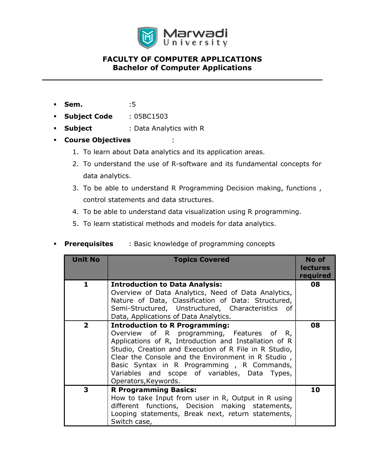

- **Sem.** :5
- **Subject Code** : 05BC1503
- **Subject** : Data Analytics with R
- Course Objectives :
	- 1. To learn about Data analytics and its application areas.
	- 2. To understand the use of R-software and its fundamental concepts for data analytics.
	- 3. To be able to understand R Programming Decision making, functions , control statements and data structures.
	- 4. To be able to understand data visualization using R programming.
	- 5. To learn statistical methods and models for data analytics.
- **Prerequisites** : Basic knowledge of programming concepts

| <b>Unit No</b> | <b>Topics Covered</b>                                                                                                                                                                                                                                                                                                                                                             | No of<br><b>lectures</b><br>required |
|----------------|-----------------------------------------------------------------------------------------------------------------------------------------------------------------------------------------------------------------------------------------------------------------------------------------------------------------------------------------------------------------------------------|--------------------------------------|
| 1              | <b>Introduction to Data Analysis:</b><br>Overview of Data Analytics, Need of Data Analytics,<br>Nature of Data, Classification of Data: Structured,<br>Semi-Structured, Unstructured, Characteristics of<br>Data, Applications of Data Analytics.                                                                                                                                 | 08                                   |
| $\mathbf{2}$   | <b>Introduction to R Programming:</b><br>Overview of R programming, Features of R,<br>Applications of R, Introduction and Installation of R<br>Studio, Creation and Execution of R File in R Studio,<br>Clear the Console and the Environment in R Studio,<br>Basic Syntax in R Programming, R Commands,<br>Variables and scope of variables, Data Types,<br>Operators, Keywords. | 08                                   |
| 3              | <b>R Programming Basics:</b><br>How to take Input from user in R, Output in R using<br>different functions, Decision making statements,<br>Looping statements, Break next, return statements,<br>Switch case,                                                                                                                                                                     | 10                                   |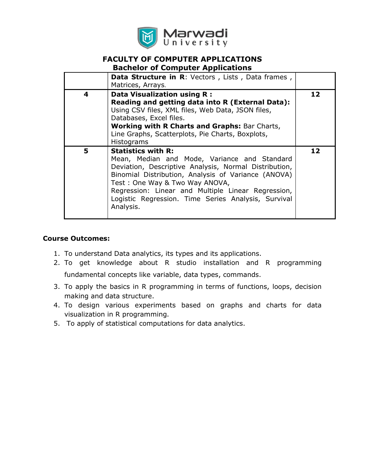

# FACULTY OF COMPUTER APPLICATIONS

|  | <b>Bachelor of Computer Applications</b> |
|--|------------------------------------------|
|--|------------------------------------------|

|   | Data Structure in R: Vectors, Lists, Data frames,<br>Matrices, Arrays.                                                                                                                                                                                                                                                                                |    |
|---|-------------------------------------------------------------------------------------------------------------------------------------------------------------------------------------------------------------------------------------------------------------------------------------------------------------------------------------------------------|----|
| 4 | Data Visualization using R :<br>Reading and getting data into R (External Data):<br>Using CSV files, XML files, Web Data, JSON files,<br>Databases, Excel files.<br><b>Working with R Charts and Graphs: Bar Charts,</b><br>Line Graphs, Scatterplots, Pie Charts, Boxplots,<br><b>Histograms</b>                                                     | 12 |
| 5 | <b>Statistics with R:</b><br>Mean, Median and Mode, Variance and Standard<br>Deviation, Descriptive Analysis, Normal Distribution,<br>Binomial Distribution, Analysis of Variance (ANOVA)<br>Test: One Way & Two Way ANOVA,<br>Regression: Linear and Multiple Linear Regression,<br>Logistic Regression. Time Series Analysis, Survival<br>Analysis. | 12 |

#### Course Outcomes:

- 1. To understand Data analytics, its types and its applications.
- 2. To get knowledge about R studio installation and R programming

fundamental concepts like variable, data types, commands.

- 3. To apply the basics in R programming in terms of functions, loops, decision making and data structure.
- 4. To design various experiments based on graphs and charts for data visualization in R programming.
- 5. To apply of statistical computations for data analytics.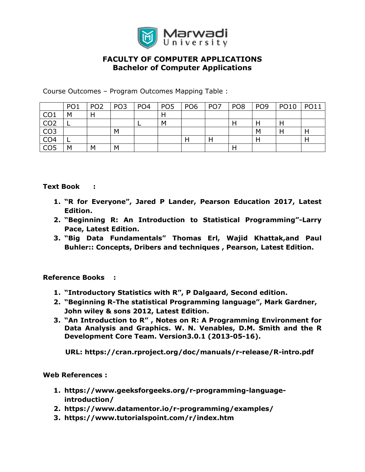

Course Outcomes – Program Outcomes Mapping Table :

|                 | PO <sub>1</sub> | PO <sub>2</sub> | PO <sub>3</sub> | PO <sub>4</sub> | PO <sub>5</sub> | PO <sub>6</sub> | PO <sub>7</sub> | PO <sub>8</sub> | PO <sub>9</sub> | <b>PO10</b> | <b>PO11</b> |
|-----------------|-----------------|-----------------|-----------------|-----------------|-----------------|-----------------|-----------------|-----------------|-----------------|-------------|-------------|
| CO <sub>1</sub> | M               |                 |                 |                 | Н               |                 |                 |                 |                 |             |             |
| CO <sub>2</sub> |                 |                 |                 |                 | M               |                 |                 |                 |                 |             |             |
| CO <sub>3</sub> |                 |                 | M               |                 |                 |                 |                 |                 | М               |             | Н           |
| CO <sub>4</sub> |                 |                 |                 |                 |                 | Н               |                 |                 |                 |             | н           |
| CO <sub>5</sub> | М               | M               | M               |                 |                 |                 |                 |                 |                 |             |             |

#### Text Book :

- 1. "R for Everyone", Jared P Lander, Pearson Education 2017, Latest Edition.
- 2. "Beginning R: An Introduction to Statistical Programming"-Larry Pace, Latest Edition.
- 3. "Big Data Fundamentals" Thomas Erl, Wajid Khattak,and Paul Buhler:: Concepts, Dribers and techniques , Pearson, Latest Edition.

Reference Books :

- 1. "Introductory Statistics with R", P Dalgaard, Second edition.
- 2. "Beginning R-The statistical Programming language", Mark Gardner, John wiley & sons 2012, Latest Edition.
- 3. "An Introduction to R" , Notes on R: A Programming Environment for Data Analysis and Graphics. W. N. Venables, D.M. Smith and the R Development Core Team. Version3.0.1 (2013-05-16).

URL: https://cran.rproject.org/doc/manuals/r-release/R-intro.pdf

Web References :

- 1. https://www.geeksforgeeks.org/r-programming-languageintroduction/
- 2. https://www.datamentor.io/r-programming/examples/
- 3. https://www.tutorialspoint.com/r/index.htm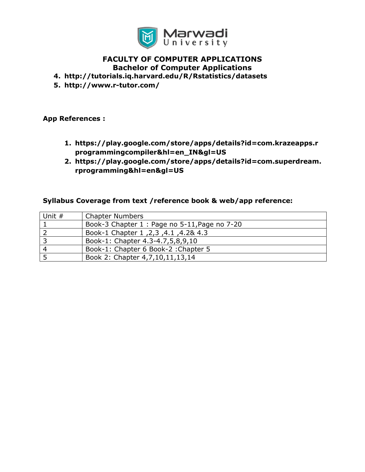

#### 4. http://tutorials.iq.harvard.edu/R/Rstatistics/datasets

5. http://www.r-tutor.com/

#### App References :

- 1. https://play.google.com/store/apps/details?id=com.krazeapps.r programmingcompiler&hl=en\_IN&gl=US
- 2. https://play.google.com/store/apps/details?id=com.superdream. rprogramming&hl=en&gl=US

#### Syllabus Coverage from text /reference book & web/app reference:

| Unit # | <b>Chapter Numbers</b>                        |
|--------|-----------------------------------------------|
|        | Book-3 Chapter 1 : Page no 5-11, Page no 7-20 |
|        | A.2& 4.3, 4.1, 2,3, 2,3 Book-1 Chapter 1      |
|        | Book-1: Chapter 4.3-4.7,5,8,9,10              |
| -4     | Book-1: Chapter 6 Book-2 : Chapter 5          |
|        | Book 2: Chapter 4, 7, 10, 11, 13, 14          |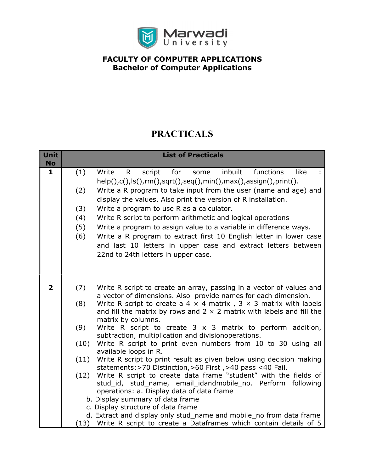

# PRACTICALS

| Unit<br><b>No</b>       |      | <b>List of Practicals</b>                                                                                                             |
|-------------------------|------|---------------------------------------------------------------------------------------------------------------------------------------|
| $\mathbf{1}$            | (1)  | inbuilt<br>functions<br>like<br>Write<br>$\mathsf{R}$<br>script<br>for<br>some                                                        |
|                         |      | help(),c(),ls(),rm(),sqrt(),seq(),min(),max(),assign(),print().                                                                       |
|                         | (2)  | Write a R program to take input from the user (name and age) and                                                                      |
|                         |      | display the values. Also print the version of R installation.                                                                         |
|                         | (3)  | Write a program to use R as a calculator.                                                                                             |
|                         | (4)  | Write R script to perform arithmetic and logical operations                                                                           |
|                         | (5)  | Write a program to assign value to a variable in difference ways.                                                                     |
|                         | (6)  | Write a R program to extract first 10 English letter in lower case                                                                    |
|                         |      | and last 10 letters in upper case and extract letters between                                                                         |
|                         |      | 22nd to 24th letters in upper case.                                                                                                   |
|                         |      |                                                                                                                                       |
|                         |      |                                                                                                                                       |
| $\overline{\mathbf{2}}$ | (7)  | Write R script to create an array, passing in a vector of values and                                                                  |
|                         |      | a vector of dimensions. Also provide names for each dimension.                                                                        |
|                         | (8)  | Write R script to create a 4 $\times$ 4 matrix, 3 $\times$ 3 matrix with labels                                                       |
|                         |      | and fill the matrix by rows and $2 \times 2$ matrix with labels and fill the<br>matrix by columns.                                    |
|                         | (9)  | Write R script to create $3 \times 3$ matrix to perform addition,                                                                     |
|                         |      | subtraction, multiplication and divisionoperations.                                                                                   |
|                         | (10) | Write R script to print even numbers from 10 to 30 using all                                                                          |
|                         |      | available loops in R.                                                                                                                 |
|                         | (11) | Write R script to print result as given below using decision making<br>statements: > 70 Distinction, > 60 First, > 40 pass < 40 Fail. |
|                         | (12) | Write R script to create data frame "student" with the fields of                                                                      |
|                         |      | stud_id, stud_name, email_idandmobile_no. Perform following                                                                           |
|                         |      | operations: a. Display data of data frame                                                                                             |
|                         |      | b. Display summary of data frame                                                                                                      |
|                         |      | c. Display structure of data frame                                                                                                    |
|                         |      | d. Extract and display only stud_name and mobile_no from data frame                                                                   |
|                         |      | (13) Write R script to create a Dataframes which contain details of 5                                                                 |